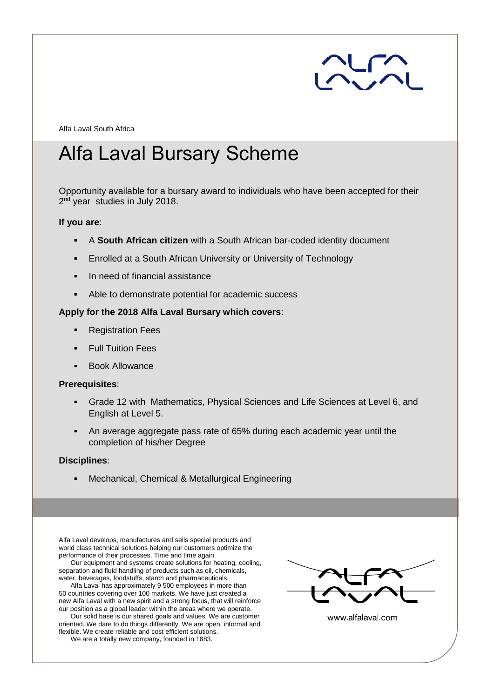

Alfa Laval South Africa

# Alfa Laval Bursary Scheme

Opportunity available for a bursary award to individuals who have been accepted for their 2<sup>nd</sup> year studies in July 2018.

#### **If you are**:

- A **South African citizen** with a South African bar-coded identity document
- **Enrolled at a South African University or University of Technology**
- In need of financial assistance
- Able to demonstrate potential for academic success

## **Apply for the 2018 Alfa Laval Bursary which covers**:

- Registration Fees
- **Full Tuition Fees**
- **Book Allowance**

### **Prerequisites**:

- Grade 12 with Mathematics, Physical Sciences and Life Sciences at Level 6, and English at Level 5.
- An average aggregate pass rate of 65% during each academic year until the completion of his/her Degree

## **Disciplines**:

▪ Mechanical, Chemical & Metallurgical Engineering

Alfa Laval develops, manufactures and sells special products and world class technical solutions helping our customers optimize the performance of their processes. Time and time again.

Our equipment and systems create solutions for heating, cooling, separation and fluid handling of products such as oil, chemicals, water, beverages, foodstuffs, starch and pharmaceuticals.

Alfa Laval has approximately 9 500 employees in more than 50 countries covering over 100 markets. We have just created a new Alfa Laval with a new spirit and a strong focus, that will reinforce our position as a global leader within the areas where we operate.

Our solid base is our shared goals and values. We are customer oriented. We dare to do things differently. We are open, informal and flexible. We create reliable and cost efficient solutions.



www.alfalaval.com